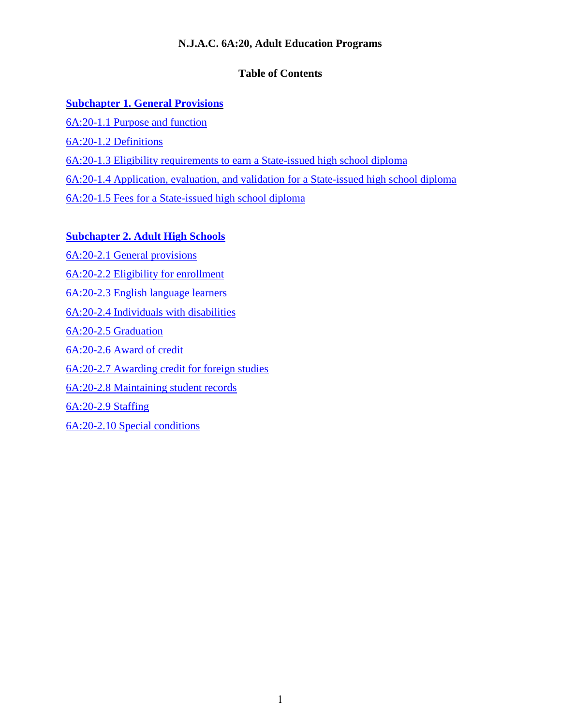# **N.J.A.C. 6A:20, Adult Education Programs**

# **Table of Contents**

# **[Subchapter](#page-1-0) 1. General Provisions**

- 6A:20-1.1 [Purpose and function](#page-1-1)
- [6A:20-1.2 Definitions](#page-1-2)
- 6A:20-1.3 Eligibility [requirements to earn a State-issued high school diploma](#page-4-0)

[6A:20-1.4 Application, evaluation, and validation](#page-5-0) for a State-issued high school diploma

[6A:20-1.5 Fees for a State-issued high school diploma](#page-6-0)

# **[Subchapter 2. Adult High Schools](#page-7-0)**

[6A:20-2.1 General provisions](#page-7-1) [6A:20-2.2 Eligibility for enrollment](#page-7-2) [6A:20-2.3 English language learners](#page-8-0) [6A:20-2.4 Individuals with disabilities](#page-8-1) 6A:20-2.5 [Graduation](#page-9-0) 6A:20-2.6 [Award of credit](#page-10-0) 6A:20-2.7 [Awarding credit for foreign studies](#page-14-0) 6A:20-2.8 [Maintaining student records](#page-14-1) [6A:20-2.9](#page-14-2) Staffing [6A:20-2.10 Special conditions](#page-14-3)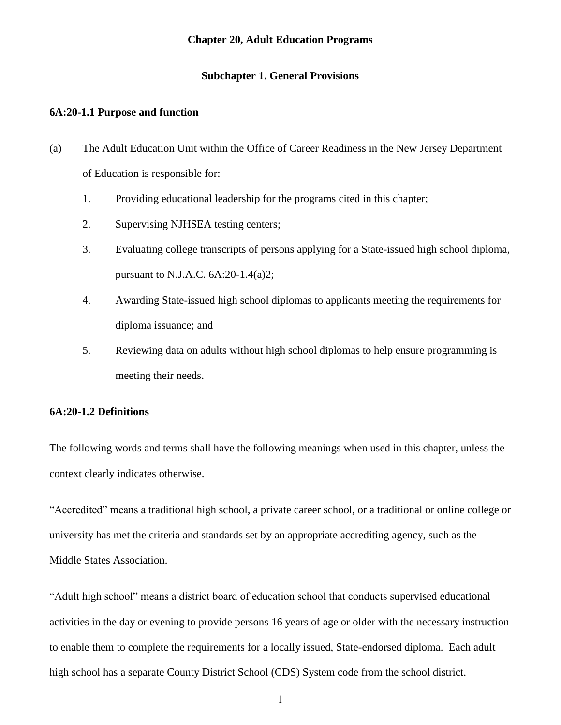#### **Chapter 20, Adult Education Programs**

### **Subchapter 1. General Provisions**

### <span id="page-1-1"></span><span id="page-1-0"></span>**6A:20-1.1 Purpose and function**

- (a) The Adult Education Unit within the Office of Career Readiness in the New Jersey Department of Education is responsible for:
	- 1. Providing educational leadership for the programs cited in this chapter;
	- 2. Supervising NJHSEA testing centers;
	- 3. Evaluating college transcripts of persons applying for a State-issued high school diploma, pursuant to N.J.A.C. 6A:20-1.4(a)2;
	- 4. Awarding State-issued high school diplomas to applicants meeting the requirements for diploma issuance; and
	- 5. Reviewing data on adults without high school diplomas to help ensure programming is meeting their needs.

#### <span id="page-1-2"></span>**6A:20-1.2 Definitions**

The following words and terms shall have the following meanings when used in this chapter, unless the context clearly indicates otherwise.

"Accredited" means a traditional high school, a private career school, or a traditional or online college or university has met the criteria and standards set by an appropriate accrediting agency, such as the Middle States Association.

"Adult high school" means a district board of education school that conducts supervised educational activities in the day or evening to provide persons 16 years of age or older with the necessary instruction to enable them to complete the requirements for a locally issued, State-endorsed diploma. Each adult high school has a separate County District School (CDS) System code from the school district.

1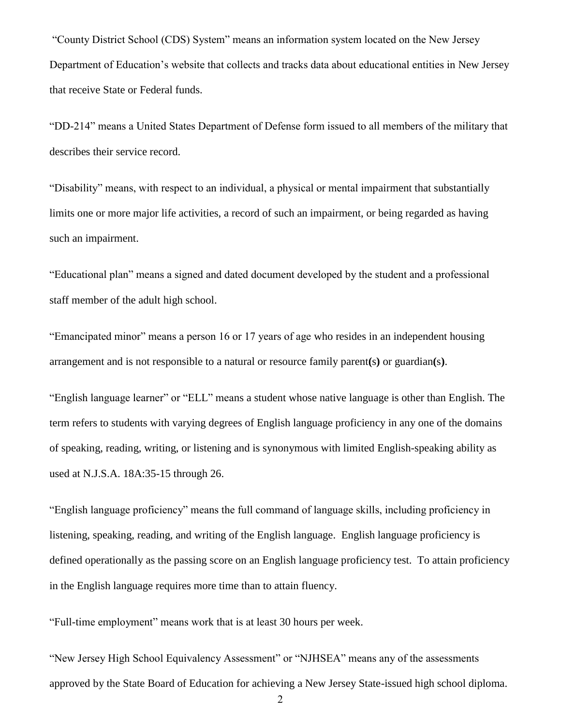"County District School (CDS) System" means an information system located on the New Jersey Department of Education's website that collects and tracks data about educational entities in New Jersey that receive State or Federal funds.

"DD-214" means a United States Department of Defense form issued to all members of the military that describes their service record.

"Disability" means, with respect to an individual, a physical or mental impairment that substantially limits one or more major life activities, a record of such an impairment, or being regarded as having such an impairment.

"Educational plan" means a signed and dated document developed by the student and a professional staff member of the adult high school.

"Emancipated minor" means a person 16 or 17 years of age who resides in an independent housing arrangement and is not responsible to a natural or resource family parent**(**s**)** or guardian**(**s**)**.

"English language learner" or "ELL" means a student whose native language is other than English. The term refers to students with varying degrees of English language proficiency in any one of the domains of speaking, reading, writing, or listening and is synonymous with limited English-speaking ability as used at N.J.S.A. 18A:35-15 through 26.

"English language proficiency" means the full command of language skills, including proficiency in listening, speaking, reading, and writing of the English language. English language proficiency is defined operationally as the passing score on an English language proficiency test. To attain proficiency in the English language requires more time than to attain fluency.

"Full-time employment" means work that is at least 30 hours per week.

"New Jersey High School Equivalency Assessment" or "NJHSEA" means any of the assessments approved by the State Board of Education for achieving a New Jersey State-issued high school diploma.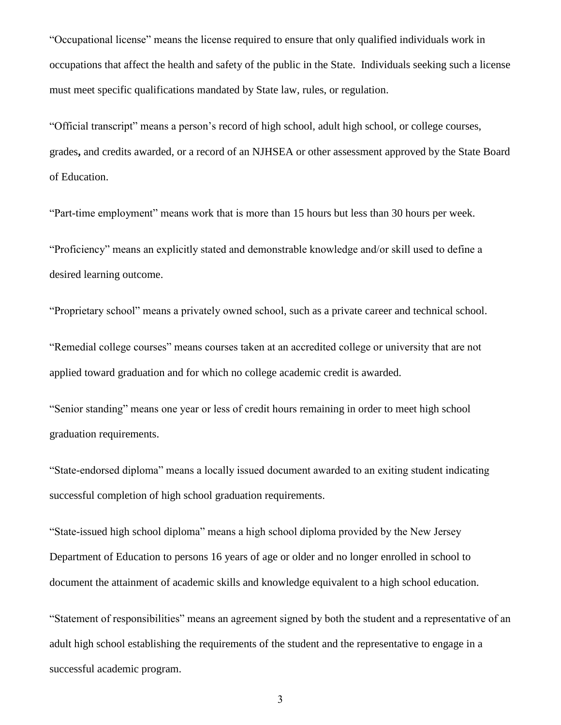"Occupational license" means the license required to ensure that only qualified individuals work in occupations that affect the health and safety of the public in the State. Individuals seeking such a license must meet specific qualifications mandated by State law, rules, or regulation.

"Official transcript" means a person's record of high school, adult high school, or college courses, grades**,** and credits awarded, or a record of an NJHSEA or other assessment approved by the State Board of Education.

"Part-time employment" means work that is more than 15 hours but less than 30 hours per week.

"Proficiency" means an explicitly stated and demonstrable knowledge and/or skill used to define a desired learning outcome.

"Proprietary school" means a privately owned school, such as a private career and technical school.

"Remedial college courses" means courses taken at an accredited college or university that are not applied toward graduation and for which no college academic credit is awarded.

"Senior standing" means one year or less of credit hours remaining in order to meet high school graduation requirements.

"State-endorsed diploma" means a locally issued document awarded to an exiting student indicating successful completion of high school graduation requirements.

"State-issued high school diploma" means a high school diploma provided by the New Jersey Department of Education to persons 16 years of age or older and no longer enrolled in school to document the attainment of academic skills and knowledge equivalent to a high school education.

"Statement of responsibilities" means an agreement signed by both the student and a representative of an adult high school establishing the requirements of the student and the representative to engage in a successful academic program.

3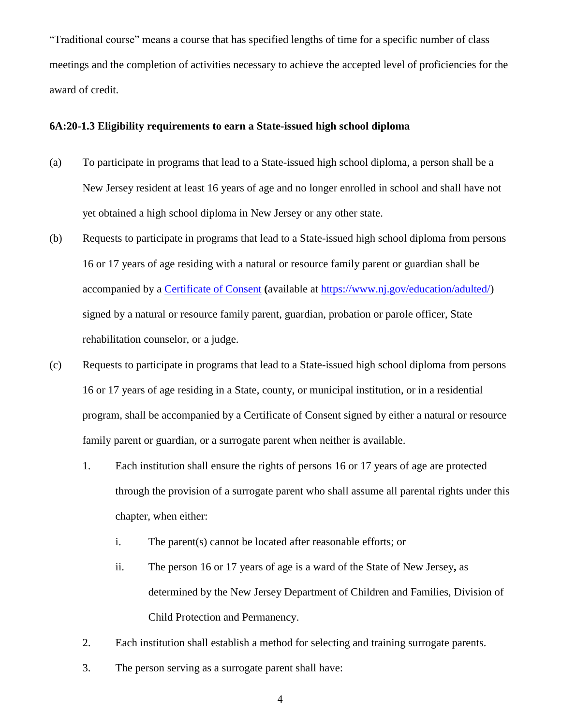"Traditional course" means a course that has specified lengths of time for a specific number of class meetings and the completion of activities necessary to achieve the accepted level of proficiencies for the award of credit.

# <span id="page-4-0"></span>**6A:20-1.3 Eligibility requirements to earn a State-issued high school diploma**

- (a) To participate in programs that lead to a State-issued high school diploma, a person shall be a New Jersey resident at least 16 years of age and no longer enrolled in school and shall have not yet obtained a high school diploma in New Jersey or any other state.
- (b) Requests to participate in programs that lead to a State-issued high school diploma from persons 16 or 17 years of age residing with a natural or resource family parent or guardian shall be accompanied by a [Certificate](https://www.nj.gov/education/adulted/) of Consent **(**available at [https://www.nj.gov/education/adulted/\)](about:blank) signed by a natural or resource family parent, guardian, probation or parole officer, State rehabilitation counselor, or a judge.
- (c) Requests to participate in programs that lead to a State-issued high school diploma from persons 16 or 17 years of age residing in a State, county, or municipal institution, or in a residential program, shall be accompanied by a Certificate of Consent signed by either a natural or resource family parent or guardian, or a surrogate parent when neither is available.
	- 1. Each institution shall ensure the rights of persons 16 or 17 years of age are protected through the provision of a surrogate parent who shall assume all parental rights under this chapter, when either:
		- i. The parent(s) cannot be located after reasonable efforts; or
		- ii. The person 16 or 17 years of age is a ward of the State of New Jersey**,** as determined by the New Jersey Department of Children and Families, Division of Child Protection and Permanency.
	- 2. Each institution shall establish a method for selecting and training surrogate parents.
	- 3. The person serving as a surrogate parent shall have: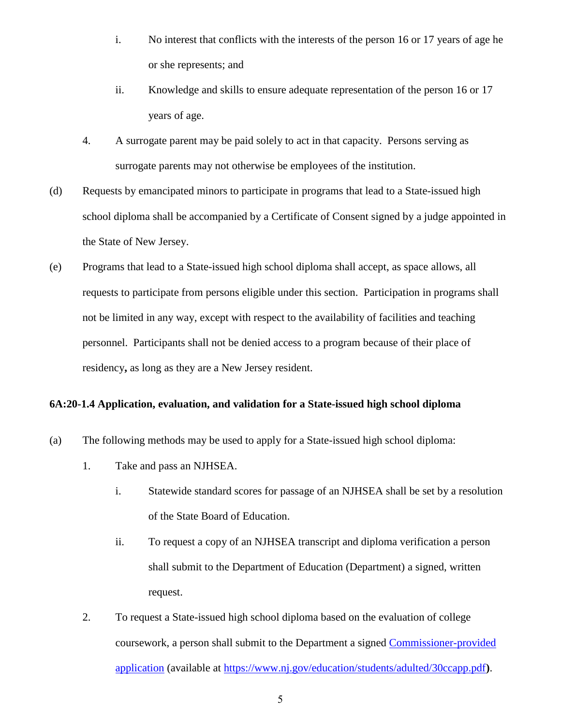- i. No interest that conflicts with the interests of the person 16 or 17 years of age he or she represents; and
- ii. Knowledge and skills to ensure adequate representation of the person 16 or 17 years of age.
- 4. A surrogate parent may be paid solely to act in that capacity. Persons serving as surrogate parents may not otherwise be employees of the institution.
- (d) Requests by emancipated minors to participate in programs that lead to a State-issued high school diploma shall be accompanied by a Certificate of Consent signed by a judge appointed in the State of New Jersey.
- (e) Programs that lead to a State-issued high school diploma shall accept, as space allows, all requests to participate from persons eligible under this section. Participation in programs shall not be limited in any way, except with respect to the availability of facilities and teaching personnel. Participants shall not be denied access to a program because of their place of residency**,** as long as they are a New Jersey resident.

### <span id="page-5-0"></span>**6A:20-1.4 Application, evaluation, and validation for a State-issued high school diploma**

- (a) The following methods may be used to apply for a State-issued high school diploma:
	- 1. Take and pass an NJHSEA.
		- i. Statewide standard scores for passage of an NJHSEA shall be set by a resolution of the State Board of Education.
		- ii. To request a copy of an NJHSEA transcript and diploma verification a person shall submit to the Department of Education (Department) a signed, written request.
	- 2. To request a State-issued high school diploma based on the evaluation of college coursework, a person shall submit to the Department a signed [Commissioner-provided](https://www.nj.gov/education/students/adulted/30ccapp.pdf)  [application](https://www.nj.gov/education/students/adulted/30ccapp.pdf) (available at [https://www.nj.gov/education/students/adulted/30ccapp.pdf](about:blank)**)**.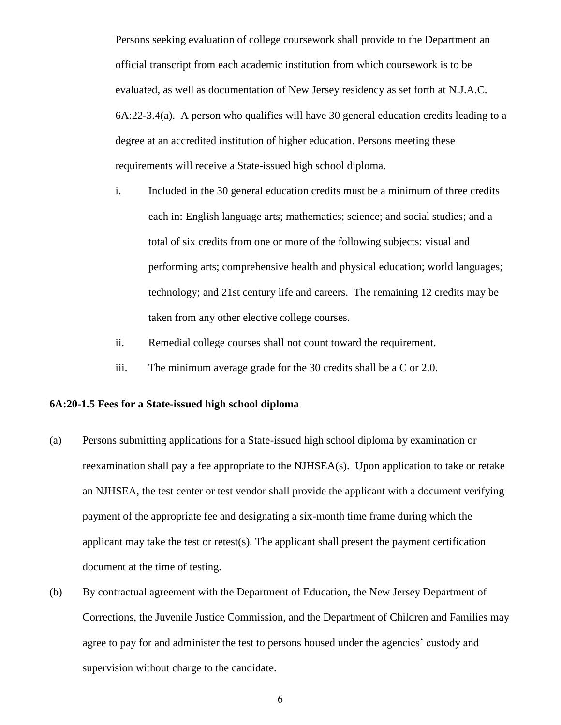Persons seeking evaluation of college coursework shall provide to the Department an official transcript from each academic institution from which coursework is to be evaluated, as well as documentation of New Jersey residency as set forth at N.J.A.C. 6A:22-3.4(a). A person who qualifies will have 30 general education credits leading to a degree at an accredited institution of higher education. Persons meeting these requirements will receive a State-issued high school diploma.

- i. Included in the 30 general education credits must be a minimum of three credits each in: English language arts; mathematics; science; and social studies; and a total of six credits from one or more of the following subjects: visual and performing arts; comprehensive health and physical education; world languages; technology; and 21st century life and careers. The remaining 12 credits may be taken from any other elective college courses.
- ii. Remedial college courses shall not count toward the requirement.
- iii. The minimum average grade for the 30 credits shall be a C or 2.0.

### <span id="page-6-0"></span>**6A:20-1.5 Fees for a State-issued high school diploma**

- (a) Persons submitting applications for a State-issued high school diploma by examination or reexamination shall pay a fee appropriate to the NJHSEA(s). Upon application to take or retake an NJHSEA, the test center or test vendor shall provide the applicant with a document verifying payment of the appropriate fee and designating a six-month time frame during which the applicant may take the test or retest(s). The applicant shall present the payment certification document at the time of testing.
- (b) By contractual agreement with the Department of Education, the New Jersey Department of Corrections, the Juvenile Justice Commission, and the Department of Children and Families may agree to pay for and administer the test to persons housed under the agencies' custody and supervision without charge to the candidate.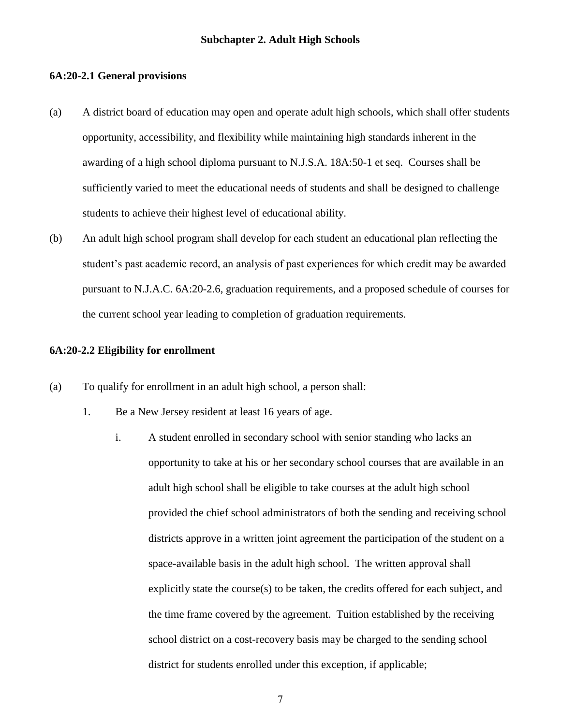#### <span id="page-7-1"></span><span id="page-7-0"></span>**6A:20-2.1 General provisions**

- (a) A district board of education may open and operate adult high schools, which shall offer students opportunity, accessibility, and flexibility while maintaining high standards inherent in the awarding of a high school diploma pursuant to N.J.S.A. 18A:50-1 et seq.Courses shall be sufficiently varied to meet the educational needs of students and shall be designed to challenge students to achieve their highest level of educational ability.
- (b) An adult high school program shall develop for each student an educational plan reflecting the student's past academic record, an analysis of past experiences for which credit may be awarded pursuant to N.J.A.C. 6A:20-2.6, graduation requirements, and a proposed schedule of courses for the current school year leading to completion of graduation requirements.

#### <span id="page-7-2"></span>**6A:20-2.2 Eligibility for enrollment**

- (a) To qualify for enrollment in an adult high school, a person shall:
	- 1. Be a New Jersey resident at least 16 years of age.
		- i. A student enrolled in secondary school with senior standing who lacks an opportunity to take at his or her secondary school courses that are available in an adult high school shall be eligible to take courses at the adult high school provided the chief school administrators of both the sending and receiving school districts approve in a written joint agreement the participation of the student on a space-available basis in the adult high school. The written approval shall explicitly state the course(s) to be taken, the credits offered for each subject, and the time frame covered by the agreement. Tuition established by the receiving school district on a cost-recovery basis may be charged to the sending school district for students enrolled under this exception, if applicable;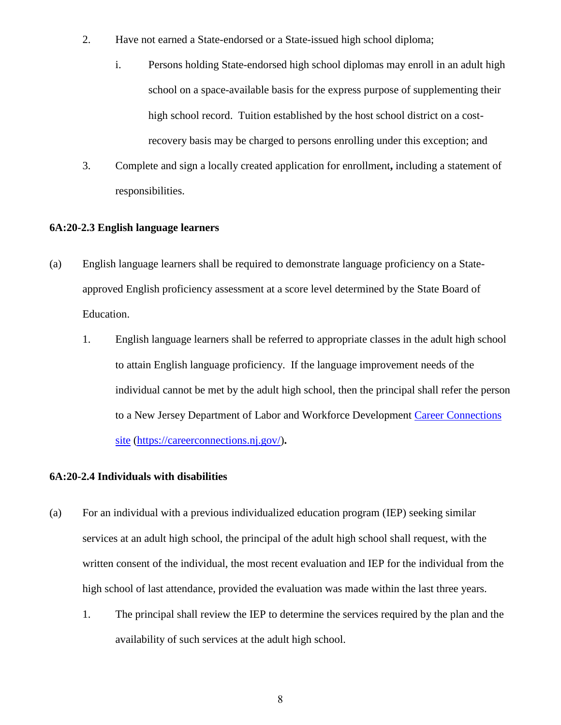- 2. Have not earned a State-endorsed or a State-issued high school diploma;
	- i. Persons holding State-endorsed high school diplomas may enroll in an adult high school on a space-available basis for the express purpose of supplementing their high school record. Tuition established by the host school district on a costrecovery basis may be charged to persons enrolling under this exception; and
- 3. Complete and sign a locally created application for enrollment**,** including a statement of responsibilities.

# <span id="page-8-0"></span>**6A:20-2.3 English language learners**

- (a) English language learners shall be required to demonstrate language proficiency on a Stateapproved English proficiency assessment at a score level determined by the State Board of Education.
	- 1. English language learners shall be referred to appropriate classes in the adult high school to attain English language proficiency. If the language improvement needs of the individual cannot be met by the adult high school, then the principal shall refer the person to a New Jersey Department of Labor and Workforce Development [Career Connections](https://careerconnections.nj.gov/)  [site](https://careerconnections.nj.gov/) [\(https://careerconnections.nj.gov/\)](about:blank)**.**

# <span id="page-8-1"></span>**6A:20-2.4 Individuals with disabilities**

- (a) For an individual with a previous individualized education program (IEP) seeking similar services at an adult high school, the principal of the adult high school shall request, with the written consent of the individual, the most recent evaluation and IEP for the individual from the high school of last attendance, provided the evaluation was made within the last three years.
	- 1. The principal shall review the IEP to determine the services required by the plan and the availability of such services at the adult high school.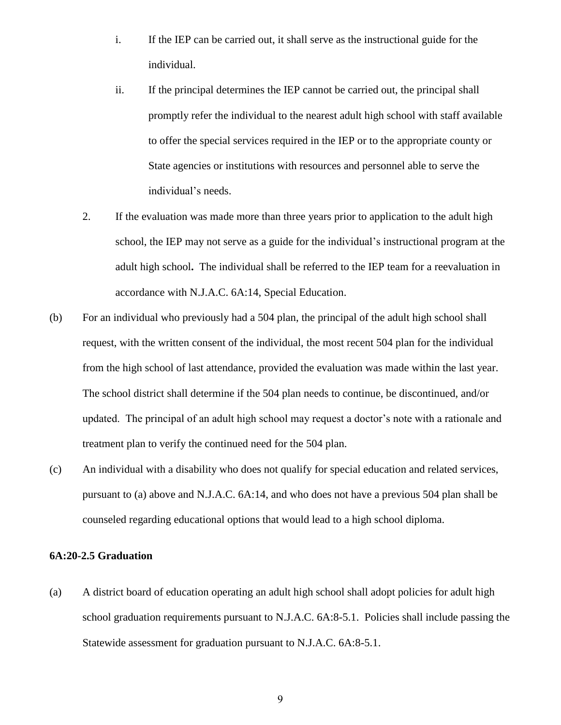- i. If the IEP can be carried out, it shall serve as the instructional guide for the individual.
- ii. If the principal determines the IEP cannot be carried out, the principal shall promptly refer the individual to the nearest adult high school with staff available to offer the special services required in the IEP or to the appropriate county or State agencies or institutions with resources and personnel able to serve the individual's needs.
- 2. If the evaluation was made more than three years prior to application to the adult high school, the IEP may not serve as a guide for the individual's instructional program at the adult high school**.** The individual shall be referred to the IEP team for a reevaluation in accordance with N.J.A.C. 6A:14, Special Education.
- (b) For an individual who previously had a 504 plan, the principal of the adult high school shall request, with the written consent of the individual, the most recent 504 plan for the individual from the high school of last attendance, provided the evaluation was made within the last year. The school district shall determine if the 504 plan needs to continue, be discontinued, and/or updated. The principal of an adult high school may request a doctor's note with a rationale and treatment plan to verify the continued need for the 504 plan.
- (c) An individual with a disability who does not qualify for special education and related services, pursuant to (a) above and N.J.A.C. 6A:14, and who does not have a previous 504 plan shall be counseled regarding educational options that would lead to a high school diploma.

## <span id="page-9-0"></span>**6A:20-2.5 Graduation**

(a) A district board of education operating an adult high school shall adopt policies for adult high school graduation requirements pursuant to N.J.A.C. 6A:8-5.1. Policies shall include passing the Statewide assessment for graduation pursuant to N.J.A.C. 6A:8-5.1.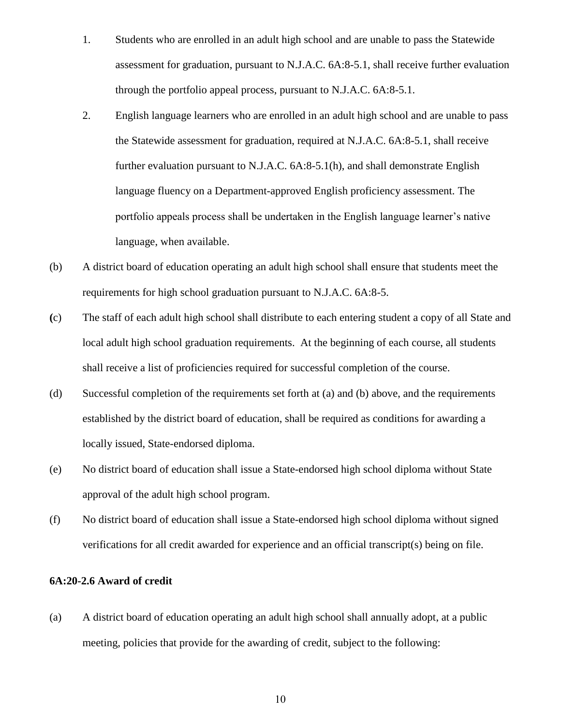- 1. Students who are enrolled in an adult high school and are unable to pass the Statewide assessment for graduation, pursuant to N.J.A.C. 6A:8-5.1, shall receive further evaluation through the portfolio appeal process, pursuant to N.J.A.C. 6A:8-5.1.
- 2. English language learners who are enrolled in an adult high school and are unable to pass the Statewide assessment for graduation, required at N.J.A.C. 6A:8-5.1, shall receive further evaluation pursuant to N.J.A.C. 6A:8-5.1(h), and shall demonstrate English language fluency on a Department-approved English proficiency assessment. The portfolio appeals process shall be undertaken in the English language learner's native language, when available.
- (b) A district board of education operating an adult high school shall ensure that students meet the requirements for high school graduation pursuant to N.J.A.C. 6A:8-5.
- **(**c) The staff of each adult high school shall distribute to each entering student a copy of all State and local adult high school graduation requirements. At the beginning of each course, all students shall receive a list of proficiencies required for successful completion of the course.
- (d) Successful completion of the requirements set forth at (a) and (b) above, and the requirements established by the district board of education, shall be required as conditions for awarding a locally issued, State-endorsed diploma.
- (e) No district board of education shall issue a State-endorsed high school diploma without State approval of the adult high school program.
- (f) No district board of education shall issue a State-endorsed high school diploma without signed verifications for all credit awarded for experience and an official transcript(s) being on file.

# <span id="page-10-0"></span>**6A:20-2.6 Award of credit**

(a) A district board of education operating an adult high school shall annually adopt, at a public meeting, policies that provide for the awarding of credit, subject to the following: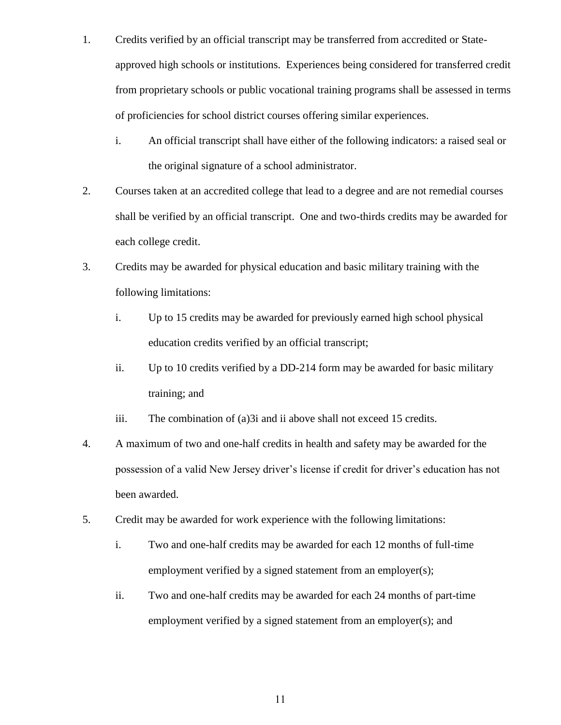- 1. Credits verified by an official transcript may be transferred from accredited or Stateapproved high schools or institutions. Experiences being considered for transferred credit from proprietary schools or public vocational training programs shall be assessed in terms of proficiencies for school district courses offering similar experiences.
	- i. An official transcript shall have either of the following indicators: a raised seal or the original signature of a school administrator.
- 2. Courses taken at an accredited college that lead to a degree and are not remedial courses shall be verified by an official transcript. One and two-thirds credits may be awarded for each college credit.
- 3. Credits may be awarded for physical education and basic military training with the following limitations:
	- i. Up to 15 credits may be awarded for previously earned high school physical education credits verified by an official transcript;
	- ii. Up to 10 credits verified by a DD-214 form may be awarded for basic military training; and
	- iii. The combination of (a)3i and ii above shall not exceed 15 credits.
- 4. A maximum of two and one-half credits in health and safety may be awarded for the possession of a valid New Jersey driver's license if credit for driver's education has not been awarded.
- 5. Credit may be awarded for work experience with the following limitations:
	- i. Two and one-half credits may be awarded for each 12 months of full-time employment verified by a signed statement from an employer(s);
	- ii. Two and one-half credits may be awarded for each 24 months of part-time employment verified by a signed statement from an employer(s); and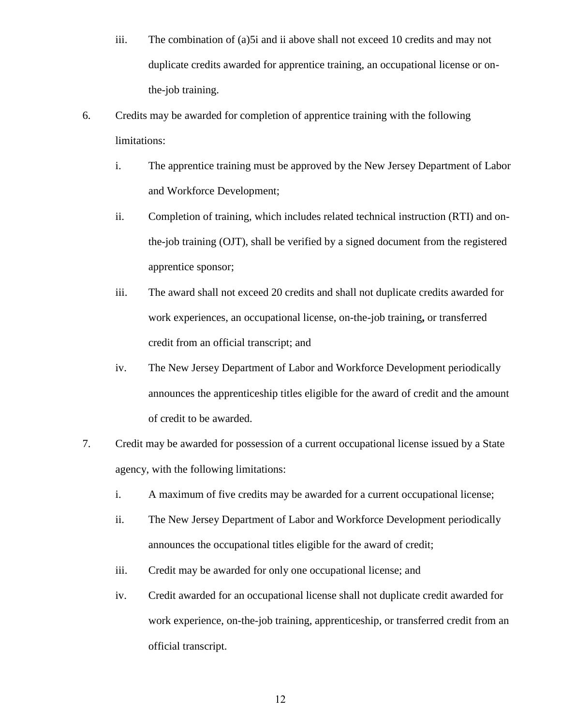- iii. The combination of (a)5i and ii above shall not exceed 10 credits and may not duplicate credits awarded for apprentice training, an occupational license or onthe-job training.
- 6. Credits may be awarded for completion of apprentice training with the following limitations:
	- i. The apprentice training must be approved by the New Jersey Department of Labor and Workforce Development;
	- ii. Completion of training, which includes related technical instruction (RTI) and onthe-job training (OJT), shall be verified by a signed document from the registered apprentice sponsor;
	- iii. The award shall not exceed 20 credits and shall not duplicate credits awarded for work experiences, an occupational license, on-the-job training**,** or transferred credit from an official transcript; and
	- iv. The New Jersey Department of Labor and Workforce Development periodically announces the apprenticeship titles eligible for the award of credit and the amount of credit to be awarded.
- 7. Credit may be awarded for possession of a current occupational license issued by a State agency, with the following limitations:
	- i. A maximum of five credits may be awarded for a current occupational license;
	- ii. The New Jersey Department of Labor and Workforce Development periodically announces the occupational titles eligible for the award of credit;
	- iii. Credit may be awarded for only one occupational license; and
	- iv. Credit awarded for an occupational license shall not duplicate credit awarded for work experience, on-the-job training, apprenticeship, or transferred credit from an official transcript.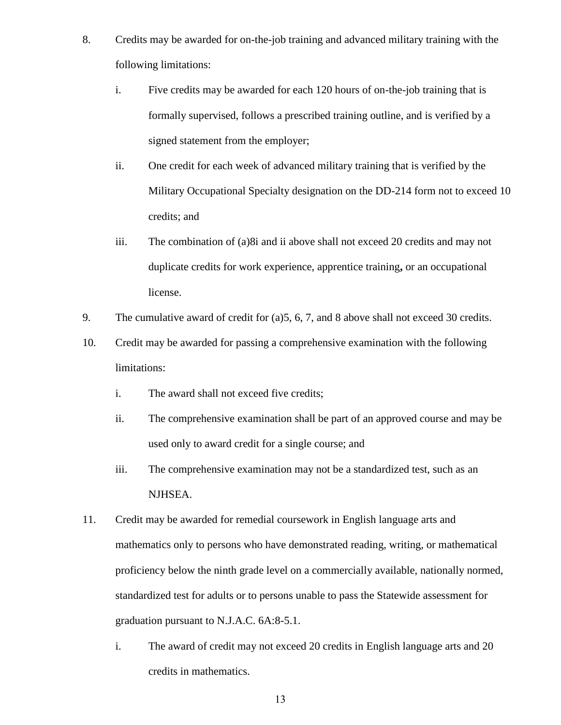- 8. Credits may be awarded for on-the-job training and advanced military training with the following limitations:
	- i. Five credits may be awarded for each 120 hours of on-the-job training that is formally supervised, follows a prescribed training outline, and is verified by a signed statement from the employer;
	- ii. One credit for each week of advanced military training that is verified by the Military Occupational Specialty designation on the DD-214 form not to exceed 10 credits; and
	- iii. The combination of (a)8i and ii above shall not exceed 20 credits and may not duplicate credits for work experience, apprentice training**,** or an occupational license.
- 9. The cumulative award of credit for (a)5, 6, 7, and 8 above shall not exceed 30 credits.
- 10. Credit may be awarded for passing a comprehensive examination with the following limitations:
	- i. The award shall not exceed five credits;
	- ii. The comprehensive examination shall be part of an approved course and may be used only to award credit for a single course; and
	- iii. The comprehensive examination may not be a standardized test, such as an NJHSEA.
- 11. Credit may be awarded for remedial coursework in English language arts and mathematics only to persons who have demonstrated reading, writing, or mathematical proficiency below the ninth grade level on a commercially available, nationally normed, standardized test for adults or to persons unable to pass the Statewide assessment for graduation pursuant to N.J.A.C. 6A:8-5.1.
	- i. The award of credit may not exceed 20 credits in English language arts and 20 credits in mathematics.